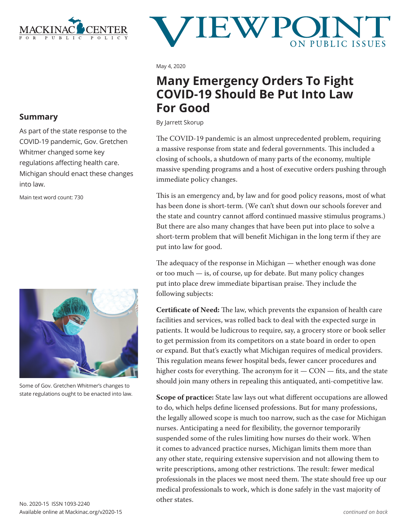

# **JEW F**

May 4, 2020

## **Many Emergency Orders To Fight COVID-19 Should Be Put Into Law For Good**

By Jarrett Skorup

The COVID-19 pandemic is an almost unprecedented problem, requiring a massive response from state and federal governments. This included a closing of schools, a shutdown of many parts of the economy, multiple massive spending programs and a host of executive orders pushing through immediate policy changes.

This is an emergency and, by law and for good policy reasons, most of what has been done is short-term. (We can't shut down our schools forever and the state and country cannot afford continued massive stimulus programs.) But there are also many changes that have been put into place to solve a short-term problem that will benefit Michigan in the long term if they are put into law for good.

The adequacy of the response in Michigan — whether enough was done or too much — is, of course, up for debate. But many policy changes put into place drew immediate bipartisan praise. They include the following subjects:

**Certificate of Need:** The law, which prevents the expansion of health care facilities and services, was rolled back to deal with the expected surge in patients. It would be ludicrous to require, say, a grocery store or book seller to get permission from its competitors on a state board in order to open or expand. But that's exactly what Michigan requires of medical providers. This regulation means fewer hospital beds, fewer cancer procedures and higher costs for everything. The acronym for it  $-$  CON  $-$  fits, and the state should join many others in repealing this antiquated, anti-competitive law.

**Scope of practice:** State law lays out what different occupations are allowed to do, which helps define licensed professions. But for many professions, the legally allowed scope is much too narrow, such as the case for Michigan nurses. Anticipating a need for flexibility, the governor temporarily suspended some of the rules limiting how nurses do their work. When it comes to advanced practice nurses, Michigan limits them more than any other state, requiring extensive supervision and not allowing them to write prescriptions, among other restrictions. The result: fewer medical professionals in the places we most need them. The state should free up our medical professionals to work, which is done safely in the vast majority of other states.

## **Summary**

As part of the state response to the COVID-19 pandemic, Gov. Gretchen Whitmer changed some key regulations affecting health care. Michigan should enact these changes into law.

Main text word count: 730



Some of Gov. Gretchen Whitmer's changes to state regulations ought to be enacted into law.